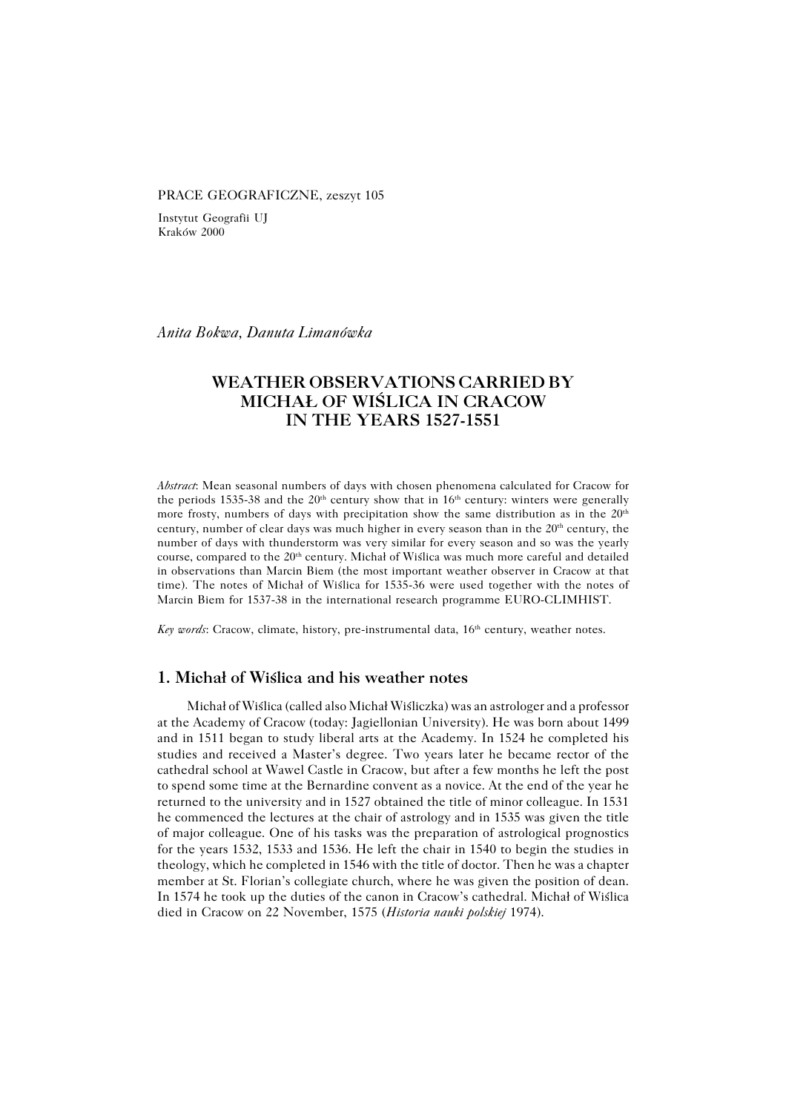#### PRACE GEOGRAFICZNE, zeszyt 105

Instytut Geografii UJ Kraków 2000

*Anita Bokwa, Danuta Limanówka*

# **WEATHER OBSERVATIONS CARRIED BY MICHAŁ OF WIŚLICA IN CRACOW IN THE YEARS 1527−1551**

*Abstract*: Mean seasonal numbers of days with chosen phenomena calculated for Cracow for the periods 1535-38 and the 20<sup>th</sup> century show that in 16<sup>th</sup> century: winters were generally more frosty, numbers of days with precipitation show the same distribution as in the  $20<sup>th</sup>$ century, number of clear days was much higher in every season than in the  $20<sup>th</sup>$  century, the number of days with thunderstorm was very similar for every season and so was the yearly course, compared to the  $20<sup>th</sup>$  century. Michał of Wiślica was much more careful and detailed in observations than Marcin Biem (the most important weather observer in Cracow at that time). The notes of Michał of Wiślica for 1535−36 were used together with the notes of Marcin Biem for 1537−38 in the international research programme EURO−CLIMHIST.

*Key words*: Cracow, climate, history, pre-instrumental data, 16<sup>th</sup> century, weather notes.

#### **1. Michał of Wiślica and his weather notes**

Michał of Wiślica (called also Michał Wiśliczka) was an astrologer and a professor at the Academy of Cracow (today: Jagiellonian University). He was born about 1499 and in 1511 began to study liberal arts at the Academy. In 1524 he completed his studies and received a Master's degree. Two years later he became rector of the cathedral school at Wawel Castle in Cracow, but after a few months he left the post to spend some time at the Bernardine convent as a novice. At the end of the year he returned to the university and in 1527 obtained the title of minor colleague. In 1531 he commenced the lectures at the chair of astrology and in 1535 was given the title of major colleague. One of his tasks was the preparation of astrological prognostics for the years 1532, 1533 and 1536. He left the chair in 1540 to begin the studies in theology, which he completed in 1546 with the title of doctor. Then he was a chapter member at St. Florian's collegiate church, where he was given the position of dean. In 1574 he took up the duties of the canon in Cracow's cathedral. Michał of Wiślica died in Cracow on 22 November, 1575 (*Historia nauki polskiej* 1974).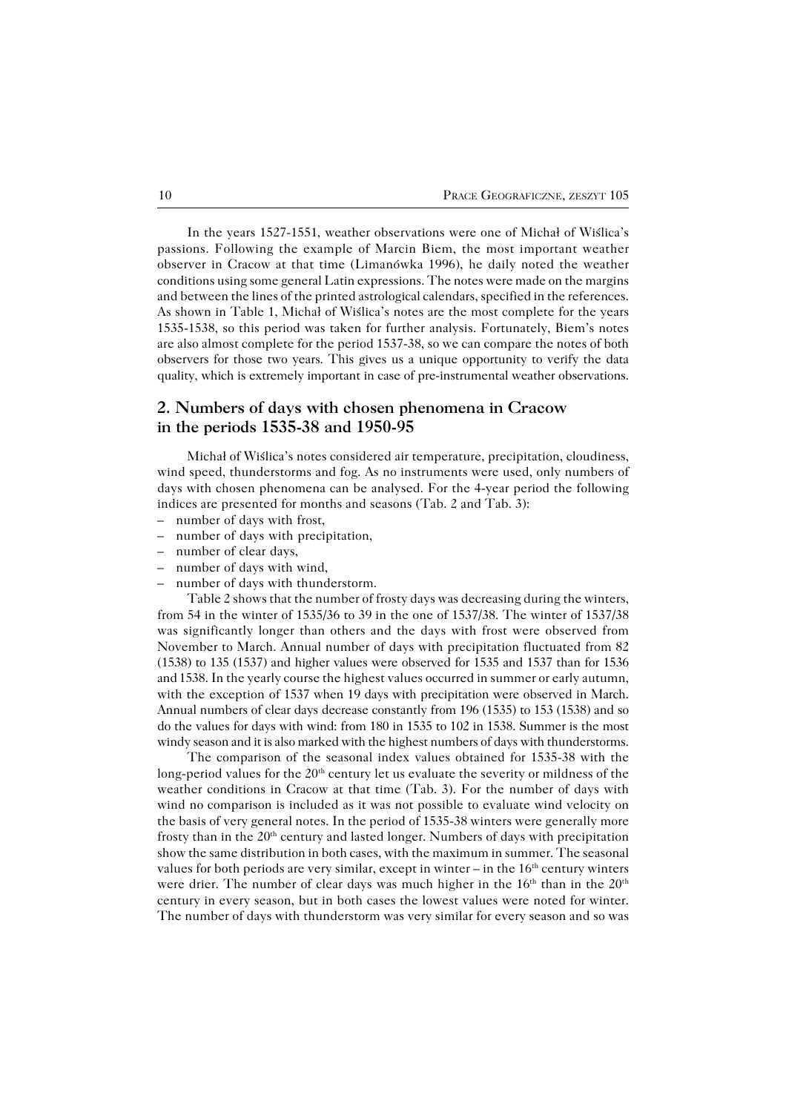In the years 1527−1551, weather observations were one of Michał of Wiślica's passions. Following the example of Marcin Biem, the most important weather observer in Cracow at that time (Limanówka 1996), he daily noted the weather conditions using some general Latin expressions. The notes were made on the margins and between the lines of the printed astrological calendars, specified in the references. As shown in Table 1, Michał of Wiślica's notes are the most complete for the years 1535−1538, so this period was taken for further analysis. Fortunately, Biem's notes are also almost complete for the period 1537−38, so we can compare the notes of both observers for those two years. This gives us a unique opportunity to verify the data quality, which is extremely important in case of pre−instrumental weather observations.

## **2. Numbers of days with chosen phenomena in Cracow in the periods 1535−38 and 1950−95**

Michał of Wiślica's notes considered air temperature, precipitation, cloudiness, wind speed, thunderstorms and fog. As no instruments were used, only numbers of days with chosen phenomena can be analysed. For the 4−year period the following indices are presented for months and seasons (Tab. 2 and Tab. 3):

- number of days with frost,
- number of days with precipitation,
- number of clear days,
- number of days with wind,
- number of days with thunderstorm.

Table 2 shows that the number of frosty days was decreasing during the winters, from 54 in the winter of 1535/36 to 39 in the one of 1537/38. The winter of 1537/38 was significantly longer than others and the days with frost were observed from November to March. Annual number of days with precipitation fluctuated from 82 (1538) to 135 (1537) and higher values were observed for 1535 and 1537 than for 1536 and 1538. In the yearly course the highest values occurred in summer or early autumn, with the exception of 1537 when 19 days with precipitation were observed in March. Annual numbers of clear days decrease constantly from 196 (1535) to 153 (1538) and so do the values for days with wind: from 180 in 1535 to 102 in 1538. Summer is the most windy season and it is also marked with the highest numbers of days with thunderstorms.

The comparison of the seasonal index values obtained for 1535−38 with the long-period values for the 20<sup>th</sup> century let us evaluate the severity or mildness of the weather conditions in Cracow at that time (Tab. 3). For the number of days with wind no comparison is included as it was not possible to evaluate wind velocity on the basis of very general notes. In the period of 1535−38 winters were generally more frosty than in the  $20<sup>th</sup>$  century and lasted longer. Numbers of days with precipitation show the same distribution in both cases, with the maximum in summer. The seasonal values for both periods are very similar, except in winter – in the  $16<sup>th</sup>$  century winters were drier. The number of clear days was much higher in the  $16<sup>th</sup>$  than in the  $20<sup>th</sup>$ century in every season, but in both cases the lowest values were noted for winter. The number of days with thunderstorm was very similar for every season and so was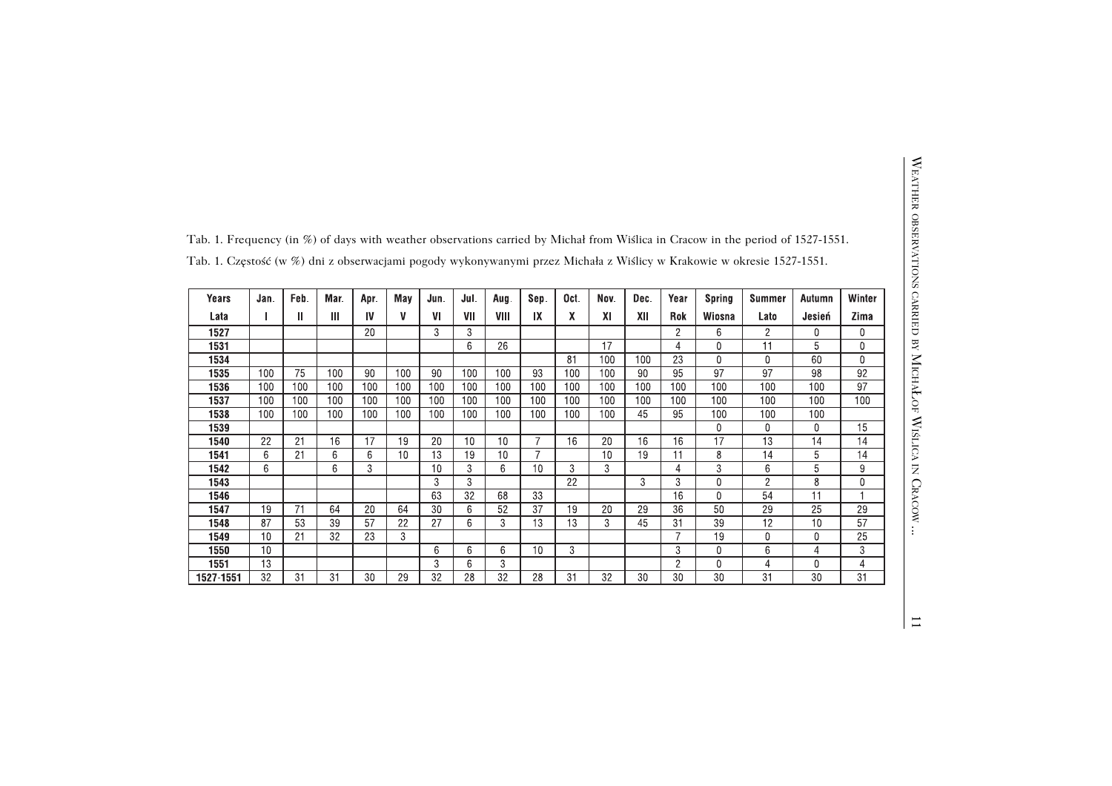|              |                 |              |      |      |     |      |                 |                |                |                 |           |      |                 |                | Tab. 1. Frequency (in %) of days with weather observations carried by Michał from Wislica in Cracow in the period of 1527-1551. |        |                |
|--------------|-----------------|--------------|------|------|-----|------|-----------------|----------------|----------------|-----------------|-----------|------|-----------------|----------------|---------------------------------------------------------------------------------------------------------------------------------|--------|----------------|
|              |                 |              |      |      |     |      |                 |                |                |                 |           |      |                 |                | Tab. 1. Częstość (w %) dni z obserwacjami pogody wykonywanymi przez Michała z Wiślicy w Krakowie w okresie 1527-1551.           |        |                |
| <b>Years</b> | Jan.            | Feb.         | Mar. | Apr. | May | Jun. | Jul.            | Aug.           | Sep.           | Oct.            | Nov.      | Dec. | Year            | <b>Spring</b>  | <b>Summer</b>                                                                                                                   | Autumn | Winter         |
| Lata         |                 | $\mathbf{I}$ | Ш    | IV   | V   | VI   | VII             | VIII           | IX             | $\mathbf{x}$    | <b>XI</b> | XII  | Rok             | Wiosna         | Lato                                                                                                                            | Jesień | Zima           |
| 1527         |                 |              |      | 20   |     | 3    | 3               |                |                |                 |           |      | $\overline{2}$  | 6              | $\overline{2}$                                                                                                                  | 0      | $\Omega$       |
| 1531         |                 |              |      |      |     |      | 6               | 26             |                |                 | 17        |      | $\overline{4}$  | 0              | 11                                                                                                                              | 5      | $\Omega$       |
| 1534         |                 |              |      |      |     |      |                 |                |                | 81              | 100       | 100  | $\overline{23}$ | 0              | $\mathbf{0}$                                                                                                                    | 60     | $\mathbf{0}$   |
| 1535         | 100             | 75           | 100  | 90   | 100 | 90   | 100             | 100            | 93             | 100             | 100       | 90   | 95              | 97             | 97                                                                                                                              | 98     | 92             |
| 1536         | 100             | 100          | 100  | 100  | 100 | 100  | 100             | 100            | 100            | 100             | 100       | 100  | 100             | 100            | 100                                                                                                                             | 100    | 97             |
| 1537         | 100             | 100          | 100  | 100  | 100 | 100  | 100             | 100            | 100            | 100             | 100       | 100  | 100             | 100            | 100                                                                                                                             | 100    | 100            |
| 1538         | 100             | 100          | 100  | 100  | 100 | 100  | 100             | 100            | 100            | 100             | 100       | 45   | 95              | 100            | 100                                                                                                                             | 100    |                |
| 1539         |                 |              |      |      |     |      |                 |                |                |                 |           |      |                 | 0              | 0                                                                                                                               | 0      | 15             |
| 1540         | 22              | 21           | 16   | 17   | 19  | 20   | 10              | 10             | $\overline{7}$ | 16              | 20        | 16   | 16              | 17             | $\overline{13}$                                                                                                                 | 14     | 14             |
| 1541         | 6               | 21           | 6    | 6    | 10  | 13   | 19              | 10             | $\overline{7}$ |                 | 10        | 19   | 11              | 8              | 14                                                                                                                              | 5      | 14             |
| 1542         | 6               |              | 6    | 3    |     | 10   | 3               | 6              | 10             | 3               | 3         |      | 4               | 3              | 6                                                                                                                               | 5      | 9              |
| 1543         |                 |              |      |      |     | 3    | 3               |                |                | $\overline{22}$ |           | 3    | 3               | 0              | $\overline{2}$                                                                                                                  | 8      | $\mathbf{0}$   |
| 1546         |                 |              |      |      |     | 63   | $\overline{32}$ | 68             | 33             |                 |           |      | 16              | $\overline{0}$ | 54                                                                                                                              | 11     |                |
| 1547         | 19              | 71           | 64   | 20   | 64  | 30   | 6               | 52             | 37             | 19              | 20        | 29   | 36              | 50             | 29                                                                                                                              | 25     | 29             |
| 1548         | 87              | 53           | 39   | 57   | 22  | 27   | 6               | 3              | 13             | 13              | 3         | 45   | 31              | 39             | 12                                                                                                                              | 10     | 57             |
| 1549         | 10              | 21           | 32   | 23   | 3   |      |                 |                |                |                 |           |      |                 | 19             | 0                                                                                                                               | 0      | 25             |
| 1550         | 10              |              |      |      |     | 6    | 6               | 6              | 10             | 3               |           |      | 3               | 0              | 6                                                                                                                               | 4      | 3              |
| 1551         | $\overline{13}$ |              |      |      |     | 3    | 6               | $\overline{3}$ |                |                 |           |      | $\overline{2}$  | 0              | $\overline{4}$                                                                                                                  | 0      | $\overline{4}$ |
| 1527-1551    | 32              | 31           | 31   | 30   | 29  | 32   | 28              | 32             | 28             | 31              | 32        | 30   | 30              | 30             | 31                                                                                                                              | 30     | 31             |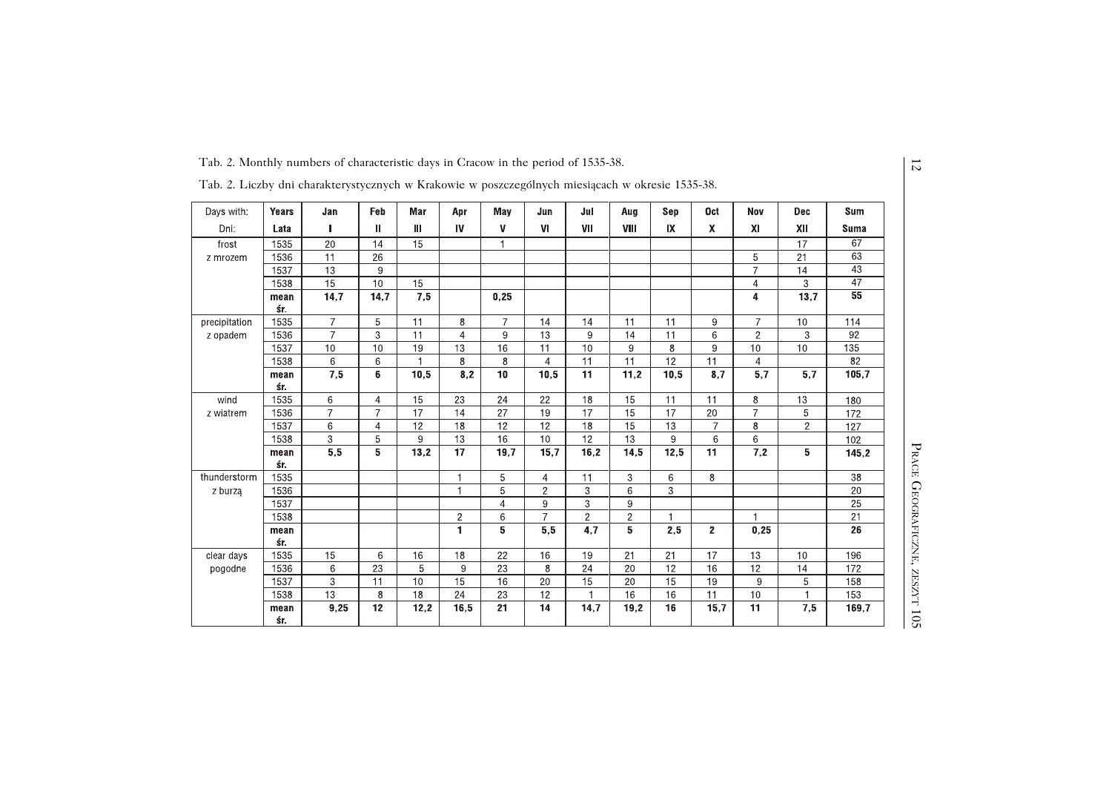|                                                                                                  |             | Tab. 2. Monthly numbers of characteristic days in Cracow in the period of 1535-38. |                |                 |                |                 |                  |                  |                 |                         |                |                           |                |                 |
|--------------------------------------------------------------------------------------------------|-------------|------------------------------------------------------------------------------------|----------------|-----------------|----------------|-----------------|------------------|------------------|-----------------|-------------------------|----------------|---------------------------|----------------|-----------------|
| Tab. 2. Liczby dni charakterystycznych w Krakowie w poszczególnych miesiącach w okresie 1535-38. |             |                                                                                    |                |                 |                |                 |                  |                  |                 |                         |                |                           |                |                 |
| Days with:                                                                                       | Years       | Jan                                                                                | Feb            | Mar             | Apr            | May             | Jun              | Jul              | Aug             | Sep                     | <b>Oct</b>     | <b>Nov</b>                | <b>Dec</b>     | <b>Sum</b>      |
| Dni:                                                                                             | Lata        | П                                                                                  | Ш              | Ш               | IV             | V               | VI               | VII              | VIII            | $\mathsf{I} \mathsf{X}$ | X.             | $\boldsymbol{\mathsf{X}}$ | XII            | <b>Suma</b>     |
| frost                                                                                            | 1535        | 20                                                                                 | 14             | 15              |                | $\overline{1}$  |                  |                  |                 |                         |                |                           | 17             | 67              |
| z mrozem                                                                                         | 1536        | 11                                                                                 | 26             |                 |                |                 |                  |                  |                 |                         |                | 5                         | 21             | 63              |
|                                                                                                  | 1537        | 13                                                                                 | 9              |                 |                |                 |                  |                  |                 |                         |                | $\overline{7}$            | 14             | 43              |
|                                                                                                  | 1538        | 15                                                                                 | 10             | 15              |                |                 |                  |                  |                 |                         |                | $\overline{4}$            | 3              | $\overline{47}$ |
|                                                                                                  | mean<br>śr. | 14,7                                                                               | 14,7           | 7,5             |                | 0,25            |                  |                  |                 |                         |                | $\overline{4}$            | 13,7           | 55              |
| precipitation                                                                                    | 1535        | $\overline{7}$                                                                     | 5              | 11              | 8              | $\overline{7}$  | 14               | 14               | 11              | 11                      | 9              | $\overline{7}$            | 10             | 114             |
| z opadem                                                                                         | 1536        | $\overline{7}$                                                                     | $\overline{3}$ | $\overline{11}$ | $\overline{4}$ | 9               | 13               | 9                | $\overline{14}$ | $\overline{11}$         | 6              | $\overline{2}$            | 3              | 92              |
|                                                                                                  | 1537        | 10                                                                                 | 10             | 19              | 13             | 16              | 11               | 10               | 9               | 8                       | 9              | 10                        | 10             | 135             |
|                                                                                                  | 1538        | 6                                                                                  | 6              |                 | 8              | 8               | 4                | 11               | 11              | 12                      | 11             | $\overline{4}$            |                | 82              |
|                                                                                                  | mean        | 7,5                                                                                | 6              | 10,5            | 8,2            | 10              | 10,5             | 11               | 11,2            | 10,5                    | 8,7            | 5,7                       | 5,7            | 105,7           |
|                                                                                                  | śr.         |                                                                                    |                |                 |                |                 |                  |                  |                 |                         |                |                           |                |                 |
| wind                                                                                             | 1535        | 6                                                                                  | $\overline{4}$ | 15              | 23             | 24              | 22               | 18               | 15              | 11                      | 11             | 8                         | 13             | 180             |
| z wiatrem                                                                                        | 1536        | $\overline{7}$                                                                     | $\overline{7}$ | 17              | 14             | $\overline{27}$ | 19               | 17               | $\overline{15}$ | 17                      | 20             | $\overline{7}$            | 5              | 172             |
|                                                                                                  | 1537        | 6                                                                                  | $\overline{4}$ | 12              | 18             | 12              | 12               | 18               | 15              | 13                      | $\overline{7}$ | 8                         | $\overline{2}$ | 127             |
|                                                                                                  | 1538        | 3                                                                                  | 5              | 9               | 13             | 16              | 10               | 12               | 13              | 9                       | 6              | 6                         |                | 102             |
|                                                                                                  | mean<br>śr. | $\overline{5,5}$                                                                   | 5              | 13,2            | 17             | 19,7            | 15,7             | 16,2             | 14,5            | 12,5                    | 11             | 7,2                       | 5              | 145,2           |
| thunderstorm                                                                                     | 1535        |                                                                                    |                |                 | 1              | 5               | $\overline{4}$   | 11               | 3               | 6                       | 8              |                           |                | 38              |
| z burzą                                                                                          | 1536        |                                                                                    |                |                 | $\mathbf{1}$   | 5               | $\overline{c}$   | 3                | 6               | 3                       |                |                           |                | 20              |
|                                                                                                  | 1537        |                                                                                    |                |                 |                | $\overline{4}$  | 9                | $\overline{3}$   | 9               |                         |                |                           |                | 25              |
|                                                                                                  | 1538        |                                                                                    |                |                 | $\overline{c}$ | 6               | $\overline{7}$   | $\overline{2}$   | $\overline{c}$  |                         |                | $\overline{1}$            |                | 21              |
|                                                                                                  | mean<br>śr. |                                                                                    |                |                 | $\blacksquare$ | $5\phantom{.0}$ | $\overline{5,5}$ | $\overline{4,7}$ | 5               | 2,5                     | $2^{\circ}$    | 0,25                      |                | 26              |
| clear days                                                                                       | 1535        | 15                                                                                 | 6              | 16              | 18             | 22              | 16               | 19               | 21              | 21                      | 17             | 13                        | 10             | 196             |
| pogodne                                                                                          | 1536        | 6                                                                                  | 23             | 5               | 9              | 23              | 8                | 24               | 20              | 12                      | 16             | 12                        | 14             | 172             |
|                                                                                                  | 1537        | 3                                                                                  | 11             | 10              | 15             | 16              | $20\,$           | 15               | 20              | 15                      | 19             | 9                         | 5              | 158             |
|                                                                                                  | 1538        | 13                                                                                 | 8              | 18              | 24             | 23              | 12               |                  | 16              | 16                      | 11             | 10                        |                | 153             |
|                                                                                                  | mean<br>śr. | 9,25                                                                               | 12             | 12.2            | 16,5           | 21              | 14               | 14,7             | 19.2            | 16                      | 15.7           | 11                        | 7,5            | 169,7           |

12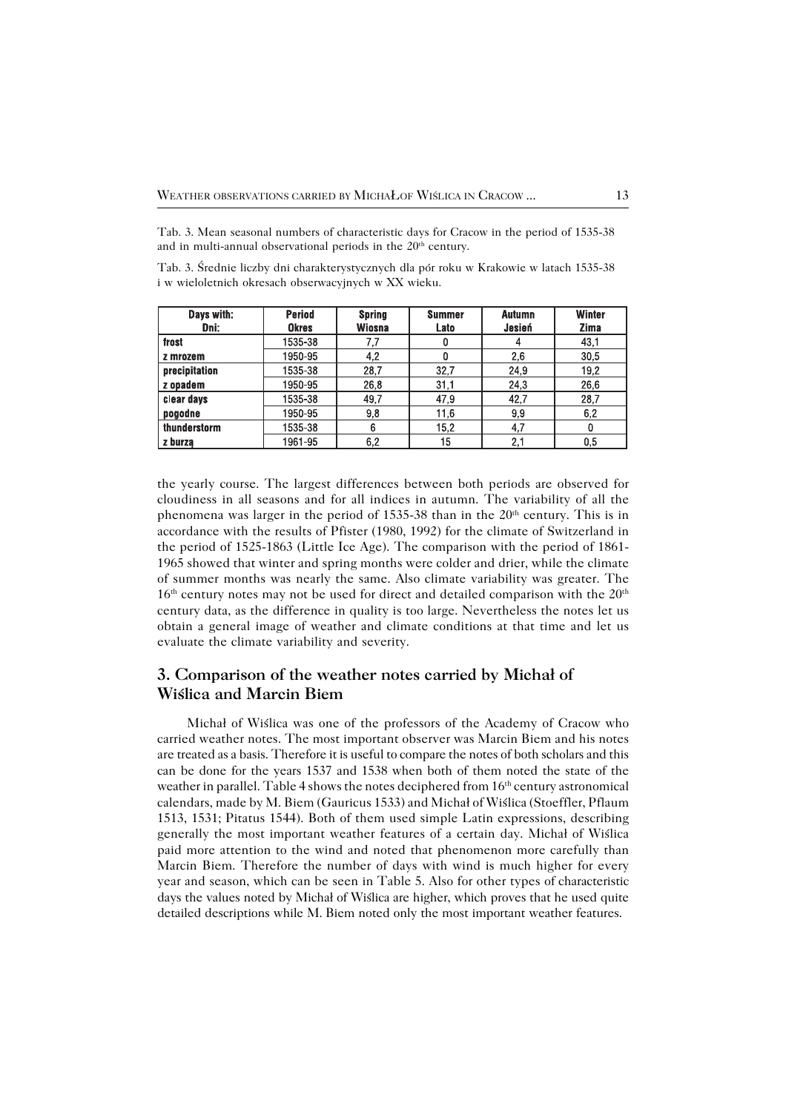Tab. 3. Mean seasonal numbers of characteristic days for Cracow in the period of 1535−38 and in multi-annual observational periods in the 20<sup>th</sup> century.

Tab. 3. Średnie liczby dni charakterystycznych dla pór roku w Krakowie w latach 1535−38 i w wieloletnich okresach obserwacyjnych w XX wieku.

| Days with:    | <b>Period</b> | <b>Spring</b> | <b>Summer</b>    | <b>Autumn</b> | <b>Winter</b> |
|---------------|---------------|---------------|------------------|---------------|---------------|
| Dni:          | <b>Okres</b>  | <b>Wiosna</b> | Lato             | Jesień        | Zima          |
| frost         | 1535-38       | 7,7           | 0                |               | 43,1          |
| z mrozem      | 1950-95       | 4,2           | 0                | 2,6           | 30,5          |
| precipitation | 1535-38       | 28,7          | 32,7             | 24,9          | 19,2          |
| z opadem      | 1950-95       | 26,8          | 31,1             | 24,3          | 26,6          |
| clear days    | 1535-38       | 49,7          | 47,9             | 42,7          | 28,7          |
| pogodne       | 1950-95       | 9,8           | 11,6             | 9,9           | 6,2           |
| thunderstorm  | 1535-38       | 6             | 15,2             | 4,7           |               |
| z burza       | 1961-95       | 6,2           | 15 <sub>15</sub> | 2,1           | 0,5           |

the yearly course. The largest differences between both periods are observed for cloudiness in all seasons and for all indices in autumn. The variability of all the phenomena was larger in the period of 1535-38 than in the 20<sup>th</sup> century. This is in accordance with the results of Pfister (1980, 1992) for the climate of Switzerland in the period of 1525−1863 (Little Ice Age). The comparison with the period of 1861− 1965 showed that winter and spring months were colder and drier, while the climate of summer months was nearly the same. Also climate variability was greater. The  $16<sup>th</sup>$  century notes may not be used for direct and detailed comparison with the  $20<sup>th</sup>$ century data, as the difference in quality is too large. Nevertheless the notes let us obtain a general image of weather and climate conditions at that time and let us evaluate the climate variability and severity.

## **3. Comparison of the weather notes carried by Michał of Wiślica and Marcin Biem**

Michał of Wiślica was one of the professors of the Academy of Cracow who carried weather notes. The most important observer was Marcin Biem and his notes are treated as a basis. Therefore it is useful to compare the notes of both scholars and this can be done for the years 1537 and 1538 when both of them noted the state of the weather in parallel. Table 4 shows the notes deciphered from 16<sup>th</sup> century astronomical calendars, made by M. Biem (Gauricus 1533) and Michał of Wiślica (Stoeffler, Pflaum 1513, 1531; Pitatus 1544). Both of them used simple Latin expressions, describing generally the most important weather features of a certain day. Michał of Wiślica paid more attention to the wind and noted that phenomenon more carefully than Marcin Biem. Therefore the number of days with wind is much higher for every year and season, which can be seen in Table 5. Also for other types of characteristic days the values noted by Michał of Wiślica are higher, which proves that he used quite detailed descriptions while M.Biem noted only the most important weather features.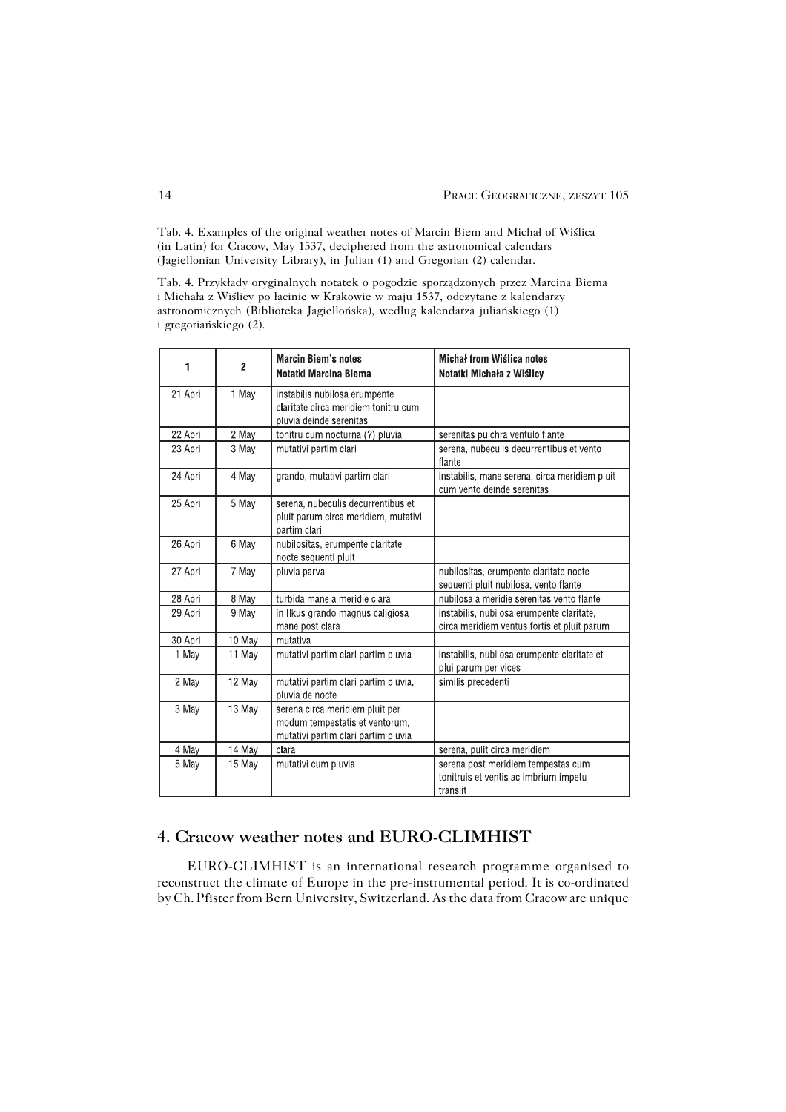Tab. 4. Examples of the original weather notes of Marcin Biem and Michał of Wiślica (in Latin) for Cracow, May 1537, deciphered from the astronomical calendars (Jagiellonian University Library), in Julian (1) and Gregorian (2) calendar.

Tab. 4. Przykłady oryginalnych notatek o pogodzie sporządzonych przez Marcina Biema i Michała z Wiślicy po łacinie w Krakowie w maju 1537, odczytane z kalendarzy astronomicznych (Biblioteka Jagiellońska), według kalendarza juliańskiego (1) i gregoriańskiego (2).

| 1        | $\overline{2}$ | <b>Marcin Biem's notes</b><br>Notatki Marcina Biema                                                      | Michał from Wiślica notes<br>Notatki Michała z Wiślicy                                   |
|----------|----------------|----------------------------------------------------------------------------------------------------------|------------------------------------------------------------------------------------------|
| 21 April | 1 May          | instabilis nubilosa erumpente<br>claritate circa meridiem tonitru cum<br>pluvia deinde serenitas         |                                                                                          |
| 22 April | 2 May          | tonitru cum nocturna (?) pluvia                                                                          | serenitas pulchra ventulo flante                                                         |
| 23 April | 3 May          | mutativi partim clari                                                                                    | serena, nubeculis decurrentibus et vento<br>flante                                       |
| 24 April | 4 May          | grando, mutativi partim clari                                                                            | instabilis, mane serena, circa meridiem pluit<br>cum vento deinde serenitas              |
| 25 April | 5 May          | serena, nubeculis decurrentibus et<br>pluit parum circa meridiem, mutativi<br>partim clari               |                                                                                          |
| 26 April | 6 May          | nubilositas, erumpente claritate<br>nocte sequenti pluit                                                 |                                                                                          |
| 27 April | 7 May          | pluvia parva                                                                                             | nubilositas, erumpente claritate nocte<br>sequenti pluit nubilosa, vento flante          |
| 28 April | 8 May          | turbida mane a meridie clara                                                                             | nubilosa a meridie serenitas vento flante                                                |
| 29 April | 9 May          | in Ilkus grando magnus caligiosa<br>mane post clara                                                      | instabilis, nubilosa erumpente claritate,<br>circa meridiem ventus fortis et pluit parum |
| 30 April | 10 May         | mutativa                                                                                                 |                                                                                          |
| 1 May    | 11 May         | mutativi partim clari partim pluvia                                                                      | instabilis, nubilosa erumpente claritate et<br>plui parum per vices                      |
| 2 May    | 12 May         | mutativi partim clari partim pluvia,<br>pluvia de nocte                                                  | similis precedenti                                                                       |
| 3 May    | 13 May         | serena circa meridiem pluit per<br>modum tempestatis et ventorum,<br>mutativi partim clari partim pluvia |                                                                                          |
| 4 May    | 14 May         | clara                                                                                                    | serena, pulit circa meridiem                                                             |
| 5 May    | 15 May         | mutativi cum pluvia                                                                                      | serena post meridiem tempestas cum<br>tonitruis et ventis ac imbrium impetu<br>transiit  |

# **4. Cracow weather notes and EURO−CLIMHIST**

EURO−CLIMHIST is an international research programme organised to reconstruct the climate of Europe in the pre−instrumental period. It is co−ordinated by Ch. Pfister from Bern University, Switzerland. As the data from Cracow are unique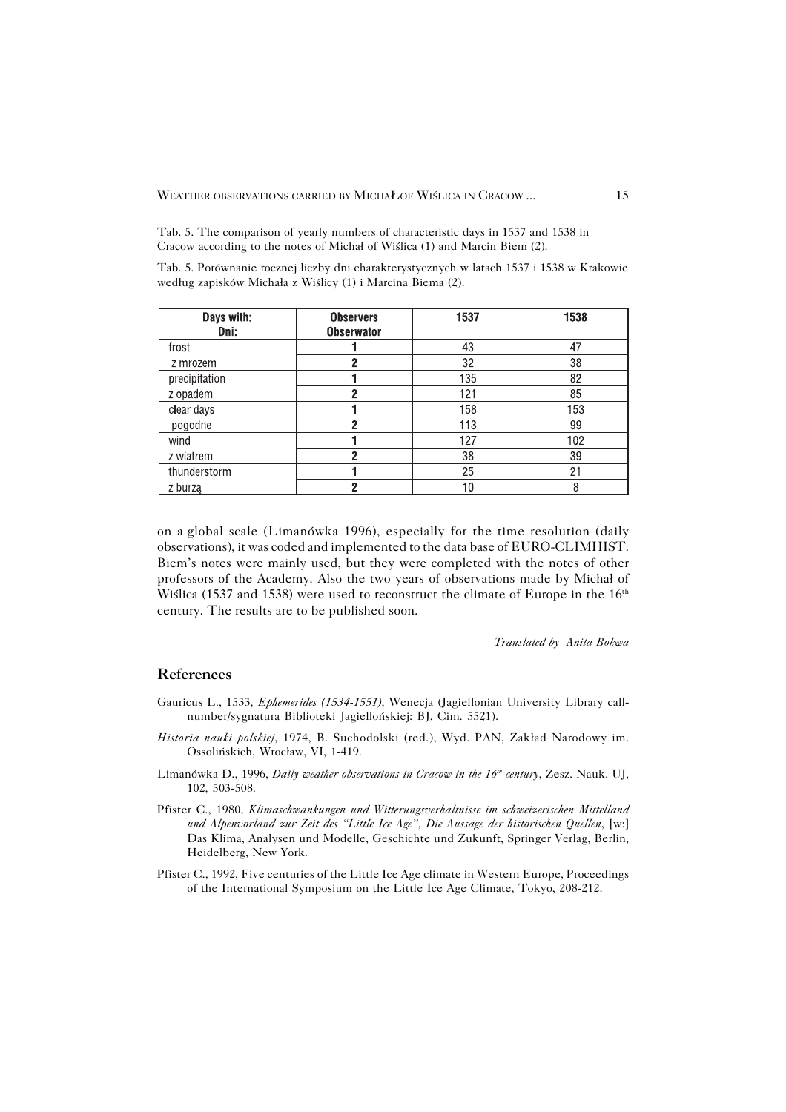Tab. 5. The comparison of yearly numbers of characteristic days in 1537 and 1538 in Cracow according to the notes of Michał of Wiślica (1) and Marcin Biem (2).

Tab. 5. Porównanie rocznej liczby dni charakterystycznych w latach 1537 i 1538 w Krakowie według zapisków Michała z Wiślicy (1) i Marcina Biema (2).

| Days with:<br>Dni: | <b>Observers</b><br><b>Obserwator</b> | 1537 | 1538 |
|--------------------|---------------------------------------|------|------|
| frost              |                                       | 43   | 47   |
| z mrozem           | 2                                     | 32   | 38   |
| precipitation      |                                       | 135  | 82   |
| z opadem           | 2                                     | 121  | 85   |
| clear days         |                                       | 158  | 153  |
| pogodne            | 2                                     | 113  | 99   |
| wind               |                                       | 127  | 102  |
| z wiatrem          | 2                                     | 38   | 39   |
| thunderstorm       |                                       | 25   | 21   |
| z burzą            | 2                                     | 10   | 8    |

on aglobal scale (Limanówka 1996), especially for the time resolution (daily observations), it was coded and implemented to the data base of EURO−CLIMHIST. Biem's notes were mainly used, but they were completed with the notes of other professors of the Academy. Also the two years of observations made by Michał of Wiślica (1537 and 1538) were used to reconstruct the climate of Europe in the  $16<sup>th</sup>$ century. The results are to be published soon.

*Translated by Anita Bokwa*

#### **References**

- Gauricus L., 1533, *Ephemerides (1534−1551)*, Wenecja (Jagiellonian University Library call− number/sygnatura Biblioteki Jagiellońskiej: BJ. Cim. 5521).
- *Historia nauki polskiej*, 1974, B. Suchodolski (red.), Wyd. PAN, Zakład Narodowy im. Ossolińskich, Wrocław, VI, 1−419.
- Limanówka D., 1996, *Daily weather observations in Cracow in the 16th century*, Zesz. Nauk. UJ, 102, 503−508.
- Pfister C., 1980, *Klimaschwankungen und Witterungsverhaltnisse im schweizerischen Mittelland und Alpenvorland zur Zeit des "Little Ice Age", Die Aussage der historischen Quellen*, [w:] Das Klima, Analysen und Modelle, Geschichte und Zukunft, Springer Verlag, Berlin, Heidelberg, New York.
- Pfister C., 1992, Five centuries of the Little Ice Age climate in Western Europe, Proceedings of the International Symposium on the Little Ice Age Climate, Tokyo, 208−212.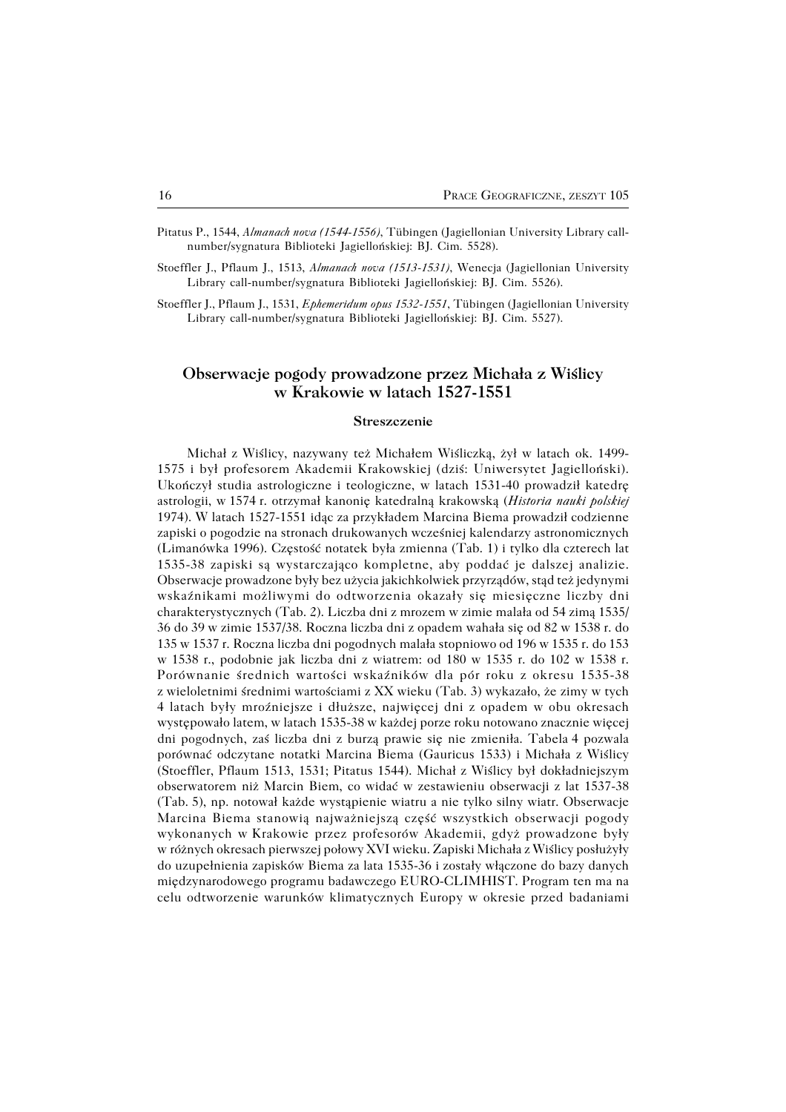- Pitatus P., 1544, *Almanach nova (1544−1556)*, Tübingen (Jagiellonian University Library call− number/sygnatura Biblioteki Jagiellońskiej: BJ. Cim. 5528).
- Stoeffler J., Pflaum J., 1513, *Almanach nova (1513−1531)*, Wenecja (Jagiellonian University Library call−number/sygnatura Biblioteki Jagiellońskiej: BJ. Cim. 5526).
- Stoeffler J., Pflaum J., 1531, *Ephemeridum opus 1532−1551*, Tübingen (Jagiellonian University Library call−number/sygnatura Biblioteki Jagiellońskiej: BJ. Cim. 5527).

## **Obserwacje pogody prowadzone przez Michała z Wiślicy w Krakowie w latach 1527−1551**

#### **Streszczenie**

Michał z Wiślicy, nazywany też Michałem Wiśliczką, żył w latach ok. 1499− 1575 i był profesorem Akademii Krakowskiej (dziś: Uniwersytet Jagielloński). Ukończył studia astrologiczne i teologiczne, w latach 1531−40 prowadził katedrę astrologii, w1574r. otrzymał kanonię katedralną krakowską (*Historia nauki polskiej* 1974). W latach 1527−1551 idąc za przykładem Marcina Biema prowadził codzienne zapiski o pogodzie na stronach drukowanych wcześniej kalendarzy astronomicznych (Limanówka 1996). Częstość notatek była zmienna (Tab. 1) i tylko dla czterech lat 1535−38 zapiski są wystarczająco kompletne, aby poddać je dalszej analizie. Obserwacje prowadzone były bez użycia jakichkolwiek przyrządów, stąd też jedynymi wskaźnikami możliwymi do odtworzenia okazały się miesięczne liczby dni charakterystycznych (Tab. 2). Liczba dni z mrozem w zimie malała od 54 zimą 1535/ 36 do 39 w zimie 1537/38. Roczna liczba dni z opadem wahała się od 82 w 1538 r. do 135 w 1537 r. Roczna liczba dni pogodnych malała stopniowo od 196 w 1535 r. do 153 w 1538 r., podobnie jak liczba dni z wiatrem: od 180 w 1535 r. do 102 w 1538 r. Porównanie średnich wartości wskaźników dla pór roku z okresu 1535−38 zwieloletnimi średnimi wartościami z XX wieku (Tab. 3) wykazało, że zimy w tych 4 latach były mroźniejsze i dłuższe, najwięcej dni z opadem w obu okresach występowało latem, w latach 1535−38 w każdej porze roku notowano znacznie więcej dni pogodnych, zaś liczba dni z burzą prawie się nie zmieniła. Tabela4 pozwala porównać odczytane notatki Marcina Biema (Gauricus 1533) i Michała z Wiślicy (Stoeffler, Pflaum 1513, 1531; Pitatus 1544). Michał z Wiślicy był dokładniejszym obserwatorem niż Marcin Biem, co widać w zestawieniu obserwacji z lat 1537−38 (Tab.5), np. notował każde wystąpienie wiatru a nie tylko silny wiatr. Obserwacje Marcina Biema stanowią najważniejszą część wszystkich obserwacji pogody wykonanych wKrakowie przez profesorów Akademii, gdyż prowadzone były wróżnych okresach pierwszej połowy XVI wieku. Zapiski Michała z Wiślicy posłużyły do uzupełnienia zapisków Biema za lata 1535−36 i zostały włączone do bazy danych międzynarodowego programu badawczego EURO−CLIMHIST. Program ten ma na celu odtworzenie warunków klimatycznych Europy w okresie przed badaniami